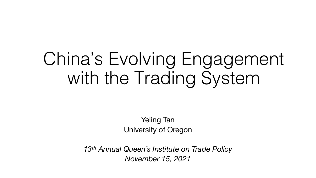# China's Evolving Engagement with the Trading System

Yeling Tan University of Oregon

*13th Annual Queen's Institute on Trade Policy November 15, 2021*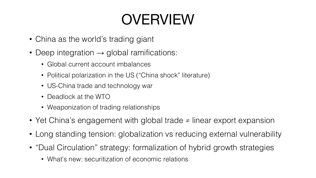# OVERVIEW

- China as the world's trading giant
- Deep integration  $\rightarrow$  global ramifications:
	- Global current account imbalances
	- Political polarization in the US ("China shock" literature)
	- US-China trade and technology war
	- Deadlock at the WTO
	- Weaponization of trading relationships
- Yet China's engagement with global trade ≠ linear export expansion
- Long standing tension: globalization vs reducing external vulnerability
- "Dual Circulation" strategy: formalization of hybrid growth strategies
	- What's new: securitization of economic relations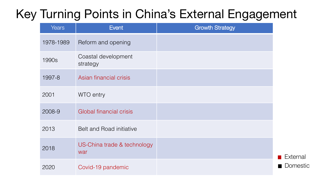| <b>Years</b> | <b>Event</b>                       | <b>Growth Strategy</b> |
|--------------|------------------------------------|------------------------|
| 1978-1989    | Reform and opening                 |                        |
| 1990s        | Coastal development<br>strategy    |                        |
| 1997-8       | Asian financial crisis             |                        |
| 2001         | WTO entry                          |                        |
| 2008-9       | Global financial crisis            |                        |
| 2013         | <b>Belt and Road initiative</b>    |                        |
| 2018         | US-China trade & technology<br>war |                        |
| 2020         | Covid-19 pandemic                  |                        |

**External** ■ Domestic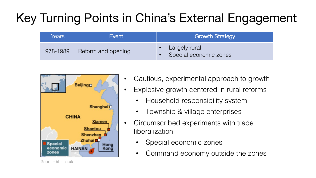| Years     | Event              | <b>Growth Strategy</b>                  |
|-----------|--------------------|-----------------------------------------|
| 1978-1989 | Reform and opening | Largely rural<br>Special economic zones |



• Cautious, experimental approach to growth

- Explosive growth centered in rural reforms
	- Household responsibility system
	- Township & village enterprises
- Circumscribed experiments with trade liberalization
	- Special economic zones
	- Command economy outside the zones

Source: bbc.co.uk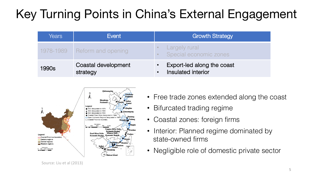| Years     | Event                           | <b>Growth Strategy</b>                           |
|-----------|---------------------------------|--------------------------------------------------|
| 1978-1989 | Reform and opening              | Largely rural<br>Special economic zones          |
| 1990s     | Coastal development<br>strategy | Export-led along the coast<br>Insulated interior |



- Free trade zones extended along the coast
- Bifurcated trading regime
- Coastal zones: foreign firms
- Interior: Planned regime dominated by state-owned firms
- Negligible role of domestic private sector

Source: Liu et al (2013)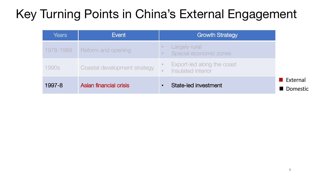| Years     | Event                        | <b>Growth Strategy</b>                           |                                        |
|-----------|------------------------------|--------------------------------------------------|----------------------------------------|
| 1978-1989 | Reform and opening           | <b>Largely rural</b><br>Special economic zones   |                                        |
| 1990s     | Coastal development strategy | Export-led along the coast<br>Insulated interior |                                        |
| 1997-8    | Asian financial crisis       | State-led investment                             | <b>■ External</b><br><b>I</b> Domestic |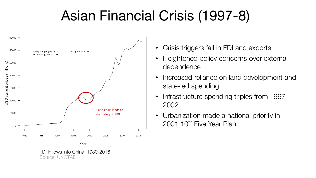# Asian Financial Crisis (1997-8)



FDI inflows into China, 1980-2016 Source: UNCTAD

- Crisis triggers fall in FDI and exports
- Heightened policy concerns over external dependence
- Increased reliance on land development and state-led spending
- Infrastructure spending triples from 1997- 2002
- Urbanization made a national priority in 2001 10<sup>th</sup> Five Year Plan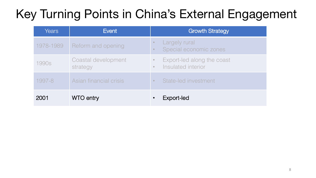| <b>Years</b> | Event                           | <b>Growth Strategy</b>                                      |
|--------------|---------------------------------|-------------------------------------------------------------|
| 1978-1989    | Reform and opening              | <b>Largely rural</b><br>Special economic zones<br>$\bullet$ |
| 1990s        | Coastal development<br>strategy | Export-led along the coast<br>Insulated interior            |
| 1997-8       | Asian financial crisis          | State-led investment                                        |
| 2001         | <b>WTO entry</b>                | Export-led<br>$\bullet$                                     |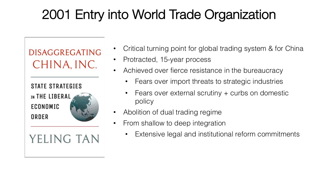**DISAGGREGATING** CHINA, INC. **STATE STRATEGIES** IN THE LIBERAL ECONOMIC ORDER YELING TAN

- Critical turning point for global trading system & for China
- Protracted, 15-year process
- Achieved over fierce resistance in the bureaucracy
	- Fears over import threats to strategic industries
	- Fears over external scrutiny  $+$  curbs on domestic policy
- Abolition of dual trading regime
- From shallow to deep integration
	- Extensive legal and institutional reform commitments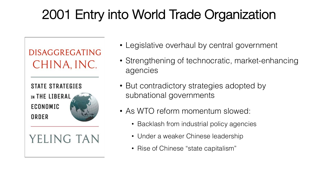

- Legislative overhaul by central government
- Strengthening of technocratic, market-enhancing agencies
- But contradictory strategies adopted by subnational governments
- As WTO reform momentum slowed:
	- Backlash from industrial policy agencies
	- Under a weaker Chinese leadership
	- Rise of Chinese "state capitalism"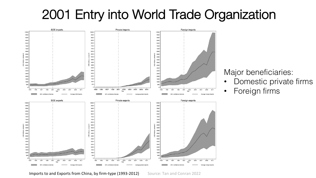

Major beneficiaries:

- Domestic private firms
- Foreign firms

Imports to and Exports from China, by firm-type (1993-2012) Source: Tan and Conran 2022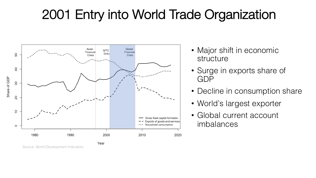

- Major shift in economic structure
- Surge in exports share of GDP
- Decline in consumption share
- World's largest exporter
- Global current account imbalances

Source: World Development Indicators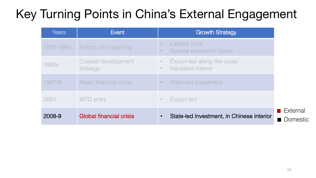| <b>Years</b> | Event                           | <b>Growth Strategy</b>                                                     |
|--------------|---------------------------------|----------------------------------------------------------------------------|
| 1978-1989    | Reform and opening              | Largely rural<br>$\bullet$<br>Special economic zones<br>$\bullet$          |
| 1990s        | Coastal development<br>strategy | Export-led along the coast<br>$\bullet$<br>Insulated interior<br>$\bullet$ |
| 1997-8       | Asian financial crisis          | State-led investment<br>$\bullet$                                          |
| 2001         | <b>WTO</b> entry                | Export-led<br>$\bullet$                                                    |
| 2008-9       | <b>Global financial crisis</b>  | State-led investment, in Chinese interior<br>$\bullet$                     |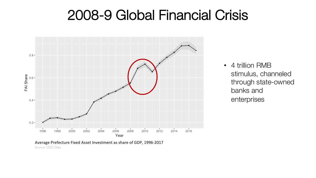#### 2008-9 Global Financial Crisis



• 4 trillion RMB stimulus, channeled through state-owned banks and enterprises

Source: CEIC Data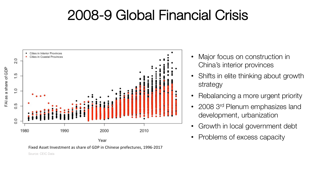#### 2008-9 Global Financial Crisis



Fixed Asset Investment as share of GDP in Chinese prefectures, 1996-2017

- Major focus on construction in China's interior provinces
- Shifts in elite thinking about growth strategy
- Rebalancing a more urgent priority
- 2008 3<sup>rd</sup> Plenum emphasizes land development, urbanization
- Growth in local government debt
- Problems of excess capacity

FAI as a share of GDP

Source: CEIC Data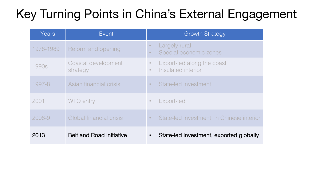| Years     | Event                           | <b>Growth Strategy</b>                                                   |
|-----------|---------------------------------|--------------------------------------------------------------------------|
| 1978-1989 | Reform and opening              | Largely rural<br>Special economic zones                                  |
| 1990s     | Coastal development<br>strategy | Export-led along the coast<br>$\circ$<br>Insulated interior<br>$\bullet$ |
| 1997-8    | Asian financial crisis          | State-led investment<br>$\bullet$                                        |
| 2001      | <b>WTO</b> entry                | Export-led                                                               |
| 2008-9    | Global financial crisis         | State-led investment, in Chinese interior<br>$\bullet$                   |
| 2013      | <b>Belt and Road initiative</b> | State-led investment, exported globally<br>$\bullet$                     |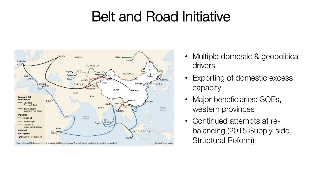### Belt and Road Initiative



- Multiple domestic & geopolitical drivers
- Exporting of domestic excess capacity
- Major beneficiaries: SOEs, western provinces
- Continued attempts at rebalancing (2015 Supply-side Structural Reform)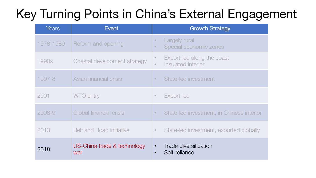| <b>Years</b> | Event                              | <b>Growth Strategy</b>                                                   |
|--------------|------------------------------------|--------------------------------------------------------------------------|
| 1978-1989    | Reform and opening                 | Largely rural<br>$\bullet$<br>Special economic zones<br>$\bullet$        |
| 1990s        | Coastal development strategy       | Export-led along the coast<br>$\circ$<br>Insulated interior<br>$\bullet$ |
| 1997-8       | Asian financial crisis             | State-led investment<br>$\bullet$                                        |
| 2001         | <b>WTO</b> entry                   | Export-led<br>$\bullet$                                                  |
| 2008-9       | Global financial crisis            | State-led investment, in Chinese interior<br>$\bullet$                   |
| 2013         | <b>Belt and Road initiative</b>    | State-led investment, exported globally<br>$\bullet$                     |
| 2018         | US-China trade & technology<br>war | Trade diversification<br>Self-reliance<br>$\bullet$                      |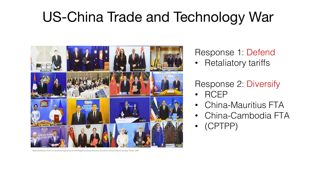# US-China Trade and Technology War



Representatives from 15 countries signed up for the Regional Comprehensive Economic Partnership on Sunday. Photo: AAP

Response 1: Defend

• Retaliatory tariffs

#### Response 2: Diversify

- RCEP
- China-Mauritius FTA
- China-Cambodia FTA
- (CPTPP)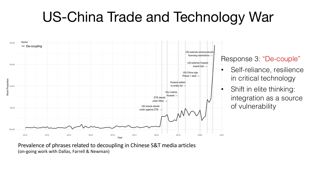### US-China Trade and Technology War



Response 3: "De-couple"

- Self-reliance, resilience in critical technology
- Shift in elite thinking: integration as a source of vulnerability

Prevalence of phrases related to decoupling in Chinese S&T media articles (on-going work with Dallas, Farrell & Newman)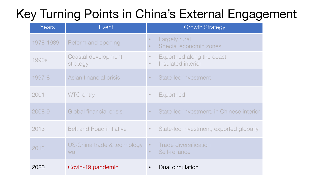| Years     | Event                              | <b>Growth Strategy</b>                                                     |
|-----------|------------------------------------|----------------------------------------------------------------------------|
| 1978-1989 | Reform and opening                 | Largely rural<br>$\bullet$<br>Special economic zones                       |
| 1990s     | Coastal development<br>strategy    | Export-led along the coast<br>$\bullet$<br>Insulated interior<br>$\bullet$ |
| 1997-8    | Asian financial crisis             | State-led investment<br>$\bullet$                                          |
| 2001      | <b>WTO</b> entry                   | Export-led<br>$\bullet$                                                    |
| 2008-9    | Global financial crisis            | State-led investment, in Chinese interior<br>$\bullet$                     |
| 2013      | <b>Belt and Road initiative</b>    | State-led investment, exported globally<br>$\bullet$                       |
| 2018      | US-China trade & technology<br>war | Trade diversification<br>$\bullet$<br>Self-reliance<br>$\bullet$           |
| 2020      | Covid-19 pandemic                  | Dual circulation                                                           |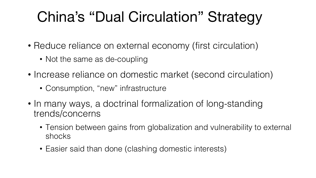# China's "Dual Circulation" Strategy

- Reduce reliance on external economy (first circulation)
	- Not the same as de-coupling
- Increase reliance on domestic market (second circulation)
	- Consumption, "new" infrastructure
- In many ways, a doctrinal formalization of long-standing trends/concerns
	- Tension between gains from globalization and vulnerability to external shocks
	- Easier said than done (clashing domestic interests)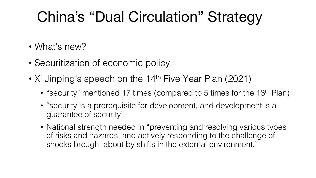# China's "Dual Circulation" Strategy

- What's new?
- Securitization of economic policy
- Xi Jinping's speech on the 14<sup>th</sup> Five Year Plan (2021)
	- "security" mentioned 17 times (compared to 5 times for the 13<sup>th</sup> Plan)
	- "security is a prerequisite for development, and development is a guarantee of security"
	- National strength needed in "preventing and resolving various types of risks and hazards, and actively responding to the challenge of shocks brought about by shifts in the external environment."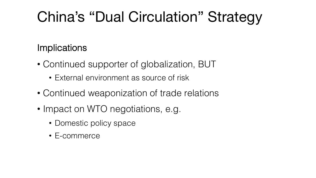# China's "Dual Circulation" Strategy

#### **Implications**

- Continued supporter of globalization, BUT
	- External environment as source of risk
- Continued weaponization of trade relations
- Impact on WTO negotiations, e.g.
	- Domestic policy space
	- E-commerce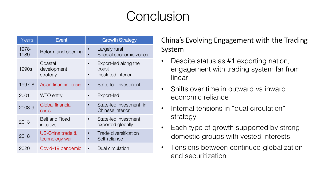#### **Conclusion**

| Years         | <b>Event</b>                       | <b>Growth Strategy</b>                              |
|---------------|------------------------------------|-----------------------------------------------------|
| 1978-<br>1989 | Reform and opening                 | Largely rural<br>Special economic zones             |
| 1990s         | Coastal<br>development<br>strategy | Export-led along the<br>coast<br>Insulated interior |
| 1997-8        | Asian financial crisis             | State-led investment                                |
| 2001          | <b>WTO</b> entry                   | Export-led                                          |
| 2008-9        | Global financial<br>crisis         | State-led investment, in<br>Chinese interior        |
| 2013          | <b>Belt and Road</b><br>initiative | State-led investment,<br>exported globally          |
| 2018          | US-China trade &<br>technology war | Trade diversification<br>Self-reliance              |
| 2020          | Covid-19 pandemic                  | Dual circulation                                    |

#### China's Evolving Engagement with the Trading System

- Despite status as #1 exporting nation, engagement with trading system far from linear
- Shifts over time in outward vs inward economic reliance
- Internal tensions in "dual circulation" strategy
- Each type of growth supported by strong domestic groups with vested interests
- Tensions between continued globalization and securitization